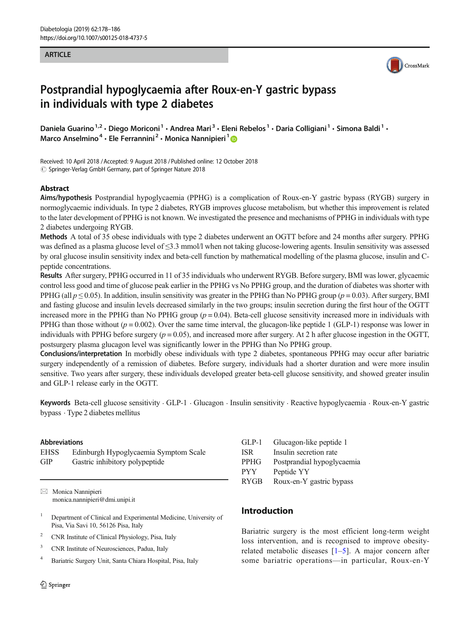### **ARTICLE**



# Postprandial hypoglycaemia after Roux-en-Y gastric bypass in individuals with type 2 diabetes

Daniela Guarino<sup>1,2</sup> • Diego Moriconi<sup>1</sup> • Andrea Mari<sup>3</sup> • Eleni Rebelos<sup>1</sup> • Daria Colligiani<sup>1</sup> • Simona Baldi<sup>1</sup> • Marco Anselmino<sup>4</sup> · Ele Ferrannini<sup>2</sup> · Monica Nannipieri<sup>1</sup> D

Received: 10 April 2018 /Accepted: 9 August 2018 /Published online: 12 October 2018  $\odot$  Springer-Verlag GmbH Germany, part of Springer Nature 2018

## Abstract

Aims/hypothesis Postprandial hypoglycaemia (PPHG) is a complication of Roux-en-Y gastric bypass (RYGB) surgery in normoglycaemic individuals. In type 2 diabetes, RYGB improves glucose metabolism, but whether this improvement is related to the later development of PPHG is not known. We investigated the presence and mechanisms of PPHG in individuals with type 2 diabetes undergoing RYGB.

Methods A total of 35 obese individuals with type 2 diabetes underwent an OGTT before and 24 months after surgery. PPHG was defined as a plasma glucose level of  $\leq$ 3.3 mmol/l when not taking glucose-lowering agents. Insulin sensitivity was assessed by oral glucose insulin sensitivity index and beta-cell function by mathematical modelling of the plasma glucose, insulin and Cpeptide concentrations.

Results After surgery, PPHG occurred in 11 of 35 individuals who underwent RYGB. Before surgery, BMI was lower, glycaemic control less good and time of glucose peak earlier in the PPHG vs No PPHG group, and the duration of diabetes was shorter with PPHG (all  $p \le 0.05$ ). In addition, insulin sensitivity was greater in the PPHG than No PPHG group ( $p = 0.03$ ). After surgery, BMI and fasting glucose and insulin levels decreased similarly in the two groups; insulin secretion during the first hour of the OGTT increased more in the PPHG than No PPHG group  $(p = 0.04)$ . Beta-cell glucose sensitivity increased more in individuals with PPHG than those without ( $p = 0.002$ ). Over the same time interval, the glucagon-like peptide 1 (GLP-1) response was lower in individuals with PPHG before surgery ( $p = 0.05$ ), and increased more after surgery. At 2 h after glucose ingestion in the OGTT, postsurgery plasma glucagon level was significantly lower in the PPHG than No PPHG group.

Conclusions/interpretation In morbidly obese individuals with type 2 diabetes, spontaneous PPHG may occur after bariatric surgery independently of a remission of diabetes. Before surgery, individuals had a shorter duration and were more insulin sensitive. Two years after surgery, these individuals developed greater beta-cell glucose sensitivity, and showed greater insulin and GLP-1 release early in the OGTT.

Keywords Beta-cell glucose sensitivity . GLP-1 . Glucagon . Insulin sensitivity . Reactive hypoglycaemia . Roux-en-Y gastric bypass . Type 2 diabetes mellitus

### Abbreviations

| <b>EHSS</b> | Edinburgh Hypoglycaemia Symptom Scale |
|-------------|---------------------------------------|
| GIP         | Gastric inhibitory polypeptide        |

 $\boxtimes$  Monica Nannipieri [monica.nannipieri@dmi.unipi.it](mailto:monica.nannipieri@dmi.unipi.it)

- <sup>1</sup> Department of Clinical and Experimental Medicine, University of Pisa, Via Savi 10, 56126 Pisa, Italy
- <sup>2</sup> CNR Institute of Clinical Physiology, Pisa, Italy
- <sup>3</sup> CNR Institute of Neurosciences, Padua, Italy
- <sup>4</sup> Bariatric Surgery Unit, Santa Chiara Hospital, Pisa, Italy

| $GLP-1$     | Glucagon-like peptide 1    |
|-------------|----------------------------|
| <b>ISR</b>  | Insulin secretion rate     |
| <b>PPHG</b> | Postprandial hypoglycaemia |
| <b>PYY</b>  | Peptide YY                 |
| <b>RYGB</b> | Roux-en-Y gastric bypass   |
|             |                            |

# Introduction

Bariatric surgery is the most efficient long-term weight loss intervention, and is recognised to improve obesityrelated metabolic diseases  $[1-5]$  $[1-5]$  $[1-5]$  $[1-5]$  $[1-5]$ . A major concern after some bariatric operations—in particular, Roux-en-Y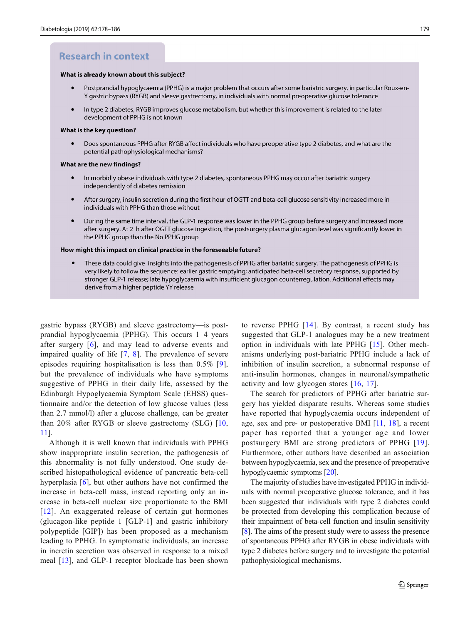# **Research in context**

#### What is already known about this subject?

- $\bullet$ Postprandial hypoglycaemia (PPHG) is a major problem that occurs after some bariatric surgery, in particular Roux-en-Y gastric bypass (RYGB) and sleeve gastrectomy, in individuals with normal preoperative glucose tolerance
- In type 2 diabetes, RYGB improves glucose metabolism, but whether this improvement is related to the later development of PPHG is not known

#### What is the key question?

Does spontaneous PPHG after RYGB affect individuals who have preoperative type 2 diabetes, and what are the potential pathophysiological mechanisms?

#### What are the new findings?

- In morbidly obese individuals with type 2 diabetes, spontaneous PPHG may occur after bariatric surgery independently of diabetes remission
- After surgery, insulin secretion during the first hour of OGTT and beta-cell glucose sensitivity increased more in individuals with PPHG than those without
- During the same time interval, the GLP-1 response was lower in the PPHG group before surgery and increased more after surgery. At 2 h after OGTT glucose ingestion, the postsurgery plasma glucagon level was significantly lower in the PPHG group than the No PPHG group

#### How might this impact on clinical practice in the foreseeable future?

These data could give insights into the pathogenesis of PPHG after bariatric surgery. The pathogenesis of PPHG is  $\bullet$ very likely to follow the sequence: earlier gastric emptying; anticipated beta-cell secretory response, supported by stronger GLP-1 release; late hypoglycaemia with insufficient glucagon counterregulation. Additional effects may derive from a higher peptide YY release

gastric bypass (RYGB) and sleeve gastrectomy—is postprandial hypoglycaemia (PPHG). This occurs 1–4 years after surgery [[6](#page-7-0)], and may lead to adverse events and impaired quality of life [\[7,](#page-7-0) [8](#page-7-0)]. The prevalence of severe episodes requiring hospitalisation is less than 0.5% [\[9](#page-7-0)], but the prevalence of individuals who have symptoms suggestive of PPHG in their daily life, assessed by the Edinburgh Hypoglycaemia Symptom Scale (EHSS) questionnaire and/or the detection of low glucose values (less than 2.7 mmol/l) after a glucose challenge, can be greater than 20% after RYGB or sleeve gastrectomy (SLG) [\[10,](#page-7-0) [11\]](#page-7-0).

Although it is well known that individuals with PPHG show inappropriate insulin secretion, the pathogenesis of this abnormality is not fully understood. One study described histopathological evidence of pancreatic beta-cell hyperplasia [\[6\]](#page-7-0), but other authors have not confirmed the increase in beta-cell mass, instead reporting only an increase in beta-cell nuclear size proportionate to the BMI [[12](#page-7-0)]. An exaggerated release of certain gut hormones (glucagon-like peptide 1 [GLP-1] and gastric inhibitory polypeptide [GIP]) has been proposed as a mechanism leading to PPHG. In symptomatic individuals, an increase in incretin secretion was observed in response to a mixed meal [\[13\]](#page-7-0), and GLP-1 receptor blockade has been shown

to reverse PPHG [[14\]](#page-7-0). By contrast, a recent study has suggested that GLP-1 analogues may be a new treatment option in individuals with late PPHG [[15\]](#page-7-0). Other mechanisms underlying post-bariatric PPHG include a lack of inhibition of insulin secretion, a subnormal response of anti-insulin hormones, changes in neuronal/sympathetic activity and low glycogen stores [[16,](#page-7-0) [17](#page-7-0)].

The search for predictors of PPHG after bariatric surgery has yielded disparate results. Whereas some studies have reported that hypoglycaemia occurs independent of age, sex and pre- or postoperative BMI [\[11](#page-7-0), [18](#page-7-0)], a recent paper has reported that a younger age and lower postsurgery BMI are strong predictors of PPHG [[19](#page-7-0)]. Furthermore, other authors have described an association between hypoglycaemia, sex and the presence of preoperative hypoglycaemic symptoms [[20\]](#page-7-0).

The majority of studies have investigated PPHG in individuals with normal preoperative glucose tolerance, and it has been suggested that individuals with type 2 diabetes could be protected from developing this complication because of their impairment of beta-cell function and insulin sensitivity [\[8](#page-7-0)]. The aims of the present study were to assess the presence of spontaneous PPHG after RYGB in obese individuals with type 2 diabetes before surgery and to investigate the potential pathophysiological mechanisms.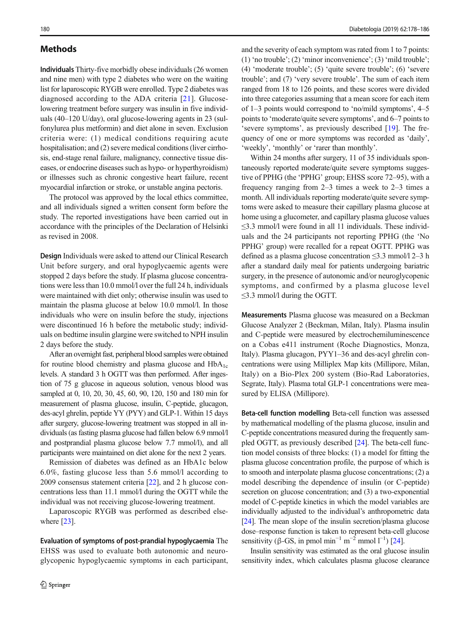# **Methods**

Individuals Thirty-five morbidly obese individuals (26 women and nine men) with type 2 diabetes who were on the waiting list for laparoscopic RYGB were enrolled. Type 2 diabetes was diagnosed according to the ADA criteria [[21](#page-7-0)]. Glucoselowering treatment before surgery was insulin in five individuals (40–120 U/day), oral glucose-lowering agents in 23 (sulfonylurea plus metformin) and diet alone in seven. Exclusion criteria were: (1) medical conditions requiring acute hospitalisation; and (2) severe medical conditions (liver cirrhosis, end-stage renal failure, malignancy, connective tissue diseases, or endocrine diseases such as hypo- or hyperthyroidism) or illnesses such as chronic congestive heart failure, recent myocardial infarction or stroke, or unstable angina pectoris.

The protocol was approved by the local ethics committee, and all individuals signed a written consent form before the study. The reported investigations have been carried out in accordance with the principles of the Declaration of Helsinki as revised in 2008.

Design Individuals were asked to attend our Clinical Research Unit before surgery, and oral hypoglycaemic agents were stopped 2 days before the study. If plasma glucose concentrations were less than 10.0 mmol/l over the full 24 h, individuals were maintained with diet only; otherwise insulin was used to maintain the plasma glucose at below 10.0 mmol/l. In those individuals who were on insulin before the study, injections were discontinued 16 h before the metabolic study; individuals on bedtime insulin glargine were switched to NPH insulin 2 days before the study.

After an overnight fast, peripheral blood samples were obtained for routine blood chemistry and plasma glucose and  $HbA_{1c}$ levels. A standard 3 h OGTT was then performed. After ingestion of 75 g glucose in aqueous solution, venous blood was sampled at 0, 10, 20, 30, 45, 60, 90, 120, 150 and 180 min for measurement of plasma glucose, insulin, C-peptide, glucagon, des-acyl ghrelin, peptide YY (PYY) and GLP-1. Within 15 days after surgery, glucose-lowering treatment was stopped in all individuals (as fasting plasma glucose had fallen below 6.9 mmol/l and postprandial plasma glucose below 7.7 mmol/l), and all participants were maintained on diet alone for the next 2 years.

Remission of diabetes was defined as an HbA1c below 6.0%, fasting glucose less than 5.6 mmol/l according to 2009 consensus statement criteria [[22](#page-7-0)], and 2 h glucose concentrations less than 11.1 mmol/l during the OGTT while the individual was not receiving glucose-lowering treatment.

Laparoscopic RYGB was performed as described else-where [\[23](#page-7-0)].

Evaluation of symptoms of post-prandial hypoglycaemia The EHSS was used to evaluate both autonomic and neuroglycopenic hypoglycaemic symptoms in each participant,

and the severity of each symptom was rated from 1 to 7 points: (1) 'no trouble'; (2) 'minor inconvenience'; (3) 'mild trouble'; (4) 'moderate trouble'; (5) 'quite severe trouble'; (6) 'severe trouble'; and (7) 'very severe trouble'. The sum of each item ranged from 18 to 126 points, and these scores were divided into three categories assuming that a mean score for each item of 1–3 points would correspond to 'no/mild symptoms', 4–5 points to 'moderate/quite severe symptoms', and 6–7 points to 'severe symptoms', as previously described [\[19](#page-7-0)]. The frequency of one or more symptoms was recorded as 'daily', 'weekly', 'monthly' or 'rarer than monthly'.

Within 24 months after surgery, 11 of 35 individuals spontaneously reported moderate/quite severe symptoms suggestive of PPHG (the 'PPHG' group; EHSS score 72–95), with a frequency ranging from 2–3 times a week to 2–3 times a month. All individuals reporting moderate/quite severe symptoms were asked to measure their capillary plasma glucose at home using a glucometer, and capillary plasma glucose values  $\leq$ 3.3 mmol/l were found in all 11 individuals. These individuals and the 24 participants not reporting PPHG (the 'No PPHG' group) were recalled for a repeat OGTT. PPHG was defined as a plasma glucose concentration ≤3.3 mmol/l 2–3 h after a standard daily meal for patients undergoing bariatric surgery, in the presence of autonomic and/or neuroglycopenic symptoms, and confirmed by a plasma glucose level ≤3.3 mmol/l during the OGTT.

Measurements Plasma glucose was measured on a Beckman Glucose Analyzer 2 (Beckman, Milan, Italy). Plasma insulin and C-peptide were measured by electrochemiluminescence on a Cobas e411 instrument (Roche Diagnostics, Monza, Italy). Plasma glucagon, PYY1–36 and des-acyl ghrelin concentrations were using Milliplex Map kits (Millipore, Milan, Italy) on a Bio-Plex 200 system (Bio-Rad Laboratories, Segrate, Italy). Plasma total GLP-1 concentrations were measured by ELISA (Millipore).

Beta-cell function modelling Beta-cell function was assessed by mathematical modelling of the plasma glucose, insulin and C-peptide concentrations measured during the frequently sampled OGTT, as previously described [[24](#page-7-0)]. The beta-cell function model consists of three blocks: (1) a model for fitting the plasma glucose concentration profile, the purpose of which is to smooth and interpolate plasma glucose concentrations; (2) a model describing the dependence of insulin (or C-peptide) secretion on glucose concentration; and (3) a two-exponential model of C-peptide kinetics in which the model variables are individually adjusted to the individual's anthropometric data [\[24\]](#page-7-0). The mean slope of the insulin secretion/plasma glucose dose–response function is taken to represent beta-cell glucose sensitivity ( $\beta$ -GS, in pmol min<sup>-1</sup> m<sup>-2</sup> mmol l<sup>-1</sup>) [\[24\]](#page-7-0).

Insulin sensitivity was estimated as the oral glucose insulin sensitivity index, which calculates plasma glucose clearance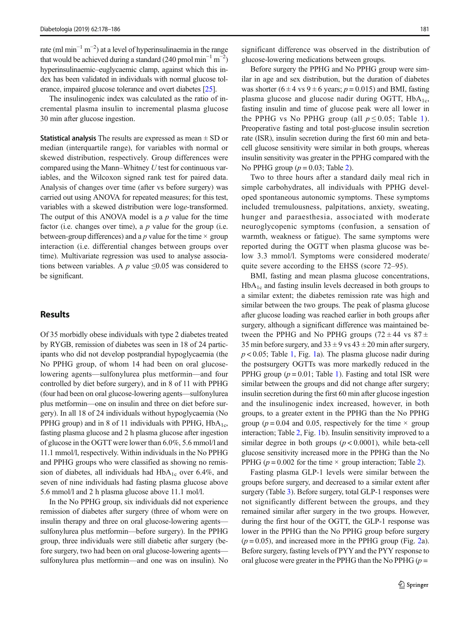rate (ml min<sup>-1</sup> m<sup>-2</sup>) at a level of hyperinsulinaemia in the range that would be achieved during a standard (240 pmol min<sup>-1</sup> m<sup>-2</sup>) hyperinsulinaemic–euglycaemic clamp, against which this index has been validated in individuals with normal glucose tolerance, impaired glucose tolerance and overt diabetes [\[25\]](#page-7-0).

The insulinogenic index was calculated as the ratio of incremental plasma insulin to incremental plasma glucose 30 min after glucose ingestion.

**Statistical analysis** The results are expressed as mean  $\pm$  SD or median (interquartile range), for variables with normal or skewed distribution, respectively. Group differences were compared using the Mann–Whitney U test for continuous variables, and the Wilcoxon signed rank test for paired data. Analysis of changes over time (after vs before surgery) was carried out using ANOVA for repeated measures; for this test, variables with a skewed distribution were loge-transformed. The output of this ANOVA model is a  $p$  value for the time factor (i.e. changes over time), a  $p$  value for the group (i.e. between-group differences) and a p value for the time  $\times$  group interaction (i.e. differential changes between groups over time). Multivariate regression was used to analyse associations between variables. A  $p$  value  $\leq 0.05$  was considered to be significant.

# **Results**

Of 35 morbidly obese individuals with type 2 diabetes treated by RYGB, remission of diabetes was seen in 18 of 24 participants who did not develop postprandial hypoglycaemia (the No PPHG group, of whom 14 had been on oral glucoselowering agents—sulfonylurea plus metformin—and four controlled by diet before surgery), and in 8 of 11 with PPHG (four had been on oral glucose-lowering agents—sulfonylurea plus metformin—one on insulin and three on diet before surgery). In all 18 of 24 individuals without hypoglycaemia (No PPHG group) and in 8 of 11 individuals with PPHG,  $HbA_{1c}$ , fasting plasma glucose and 2 h plasma glucose after ingestion of glucose in the OGTT were lower than 6.0%, 5.6 mmol/l and 11.1 mmol/l, respectively. Within individuals in the No PPHG and PPHG groups who were classified as showing no remission of diabetes, all individuals had  $HbA_{1c}$  over 6.4%, and seven of nine individuals had fasting plasma glucose above 5.6 mmol/l and 2 h plasma glucose above 11.1 mol/l.

In the No PPHG group, six individuals did not experience remission of diabetes after surgery (three of whom were on insulin therapy and three on oral glucose-lowering agents sulfonylurea plus metformin—before surgery). In the PPHG group, three individuals were still diabetic after surgery (before surgery, two had been on oral glucose-lowering agents sulfonylurea plus metformin—and one was on insulin). No significant difference was observed in the distribution of glucose-lowering medications between groups.

Before surgery the PPHG and No PPHG group were similar in age and sex distribution, but the duration of diabetes was shorter (6  $\pm$  4 vs 9  $\pm$  6 years; p = 0.015) and BMI, fasting plasma glucose and glucose nadir during OGTT,  $HbA_{1c}$ , fasting insulin and time of glucose peak were all lower in the PPHG vs No PPHG group (all  $p \le 0.05$ ; Table [1](#page-4-0)). Preoperative fasting and total post-glucose insulin secretion rate (ISR), insulin secretion during the first 60 min and betacell glucose sensitivity were similar in both groups, whereas insulin sensitivity was greater in the PPHG compared with the No PPHG group  $(p = 0.03;$  Table [2\)](#page-4-0).

Two to three hours after a standard daily meal rich in simple carbohydrates, all individuals with PPHG developed spontaneous autonomic symptoms. These symptoms included tremulousness, palpitations, anxiety, sweating, hunger and paraesthesia, associated with moderate neuroglycopenic symptoms (confusion, a sensation of warmth, weakness or fatigue). The same symptoms were reported during the OGTT when plasma glucose was below 3.3 mmol/l. Symptoms were considered moderate/ quite severe according to the EHSS (score 72–95).

BMI, fasting and mean plasma glucose concentrations,  $HbA_{1c}$  and fasting insulin levels decreased in both groups to a similar extent; the diabetes remission rate was high and similar between the two groups. The peak of plasma glucose after glucose loading was reached earlier in both groups after surgery, although a significant difference was maintained between the PPHG and No PPHG groups (72  $\pm$  44 vs 87  $\pm$ 35 min before surgery, and  $33 \pm 9$  vs  $43 \pm 20$  min after surgery,  $p < 0.05$ ; Table [1,](#page-4-0) Fig. [1a](#page-5-0)). The plasma glucose nadir during the postsurgery OGTTs was more markedly reduced in the PPHG group ( $p = 0.01$ ; Table [1\)](#page-4-0). Fasting and total ISR were similar between the groups and did not change after surgery; insulin secretion during the first 60 min after glucose ingestion and the insulinogenic index increased, however, in both groups, to a greater extent in the PPHG than the No PPHG group ( $p = 0.04$  and 0.05, respectively for the time  $\times$  group interaction; Table [2](#page-4-0), Fig. [1b](#page-5-0)). Insulin sensitivity improved to a similar degree in both groups  $(p < 0.0001)$ , while beta-cell glucose sensitivity increased more in the PPHG than the No PPHG ( $p = 0.002$  for the time  $\times$  group interaction; Table [2\)](#page-4-0).

Fasting plasma GLP-1 levels were similar between the groups before surgery, and decreased to a similar extent after surgery (Table [3\)](#page-5-0). Before surgery, total GLP-1 responses were not significantly different between the groups, and they remained similar after surgery in the two groups. However, during the first hour of the OGTT, the GLP-1 response was lower in the PPHG than the No PPHG group before surgery  $(p = 0.05)$ , and increased more in the PPHG group (Fig. [2](#page-6-0)a). Before surgery, fasting levels of PYY and the PYY response to oral glucose were greater in the PPHG than the No PPHG ( $p =$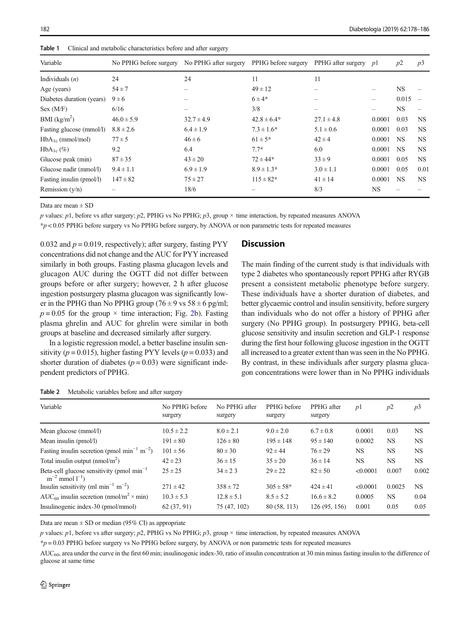| Variable                  | No PPHG before surgery | No PPHG after surgery | PPHG before surgery | PPHG after surgery $p1$ |           | p2        | p3        |
|---------------------------|------------------------|-----------------------|---------------------|-------------------------|-----------|-----------|-----------|
| Individuals $(n)$         | 24                     | 24                    | 11                  | 11                      |           |           |           |
| Age (years)               | $54 \pm 7$             |                       | $49 \pm 12$         |                         |           | NS.       |           |
| Diabetes duration (years) | $9 \pm 6$              |                       | $6 \pm 4*$          |                         |           | 0.015     |           |
| Sex (M/F)                 | 6/16                   |                       | 3/8                 |                         |           | <b>NS</b> |           |
| BMI (kg/m <sup>2</sup> )  | $46.0 \pm 5.9$         | $32.7 \pm 4.9$        | $42.8 \pm 6.4*$     | $27.1 \pm 4.8$          | 0.0001    | 0.03      | NS.       |
| Fasting glucose (mmol/l)  | $8.8 \pm 2.6$          | $6.4 \pm 1.9$         | $7.3 \pm 1.6^*$     | $5.1 \pm 0.6$           | 0.0001    | 0.03      | <b>NS</b> |
| $HbA_{1c}$ (mmol/mol)     | $77 \pm 5$             | $46 \pm 6$            | $61 \pm 5^*$        | $42 \pm 4$              | 0.0001    | <b>NS</b> | <b>NS</b> |
| $HbA_{1c}(\%)$            | 9.2                    | 6.4                   | $7.7*$              | 6.0                     | 0.0001    | <b>NS</b> | NS.       |
| Glucose peak (min)        | $87 \pm 35$            | $43 \pm 20$           | $72 \pm 44*$        | $33 \pm 9$              | 0.0001    | 0.05      | NS.       |
| Glucose nadir (mmol/l)    | $9.4 \pm 1.1$          | $6.9 \pm 1.9$         | $8.9 \pm 1.3*$      | $3.0 \pm 1.1$           | 0.0001    | 0.05      | 0.01      |
| Fasting insulin (pmol/l)  | $147 \pm 82$           | $75 \pm 27$           | $115 \pm 82*$       | $41 \pm 14$             | 0.0001    | <b>NS</b> | NS.       |
| Remission $(y/n)$         |                        | 18/6                  |                     | 8/3                     | <b>NS</b> |           |           |

<span id="page-4-0"></span>Table 1 Clinical and metabolic characteristics before and after surgery

Data are mean + SD

p values: p1, before vs after surgery; p2, PPHG vs No PPHG; p3, group  $\times$  time interaction, by repeated measures ANOVA

\*p < 0.05 PPHG before surgery vs No PPHG before surgery, by ANOVA or non parametric tests for repeated measures

0.032 and  $p = 0.019$ , respectively); after surgery, fasting PYY concentrations did not change and the AUC for PYYincreased similarly in both groups. Fasting plasma glucagon levels and glucagon AUC during the OGTT did not differ between groups before or after surgery; however, 2 h after glucose ingestion postsurgery plasma glucagon was significantly lower in the PPHG than No PPHG group (76  $\pm$  9 vs 58  $\pm$  6 pg/ml;  $p = 0.05$  for the group  $\times$  time interaction; Fig. [2](#page-6-0)b). Fasting plasma ghrelin and AUC for ghrelin were similar in both groups at baseline and decreased similarly after surgery.

In a logistic regression model, a better baseline insulin sensitivity ( $p = 0.015$ ), higher fasting PYY levels ( $p = 0.033$ ) and shorter duration of diabetes ( $p = 0.03$ ) were significant independent predictors of PPHG.

### **Discussion**

The main finding of the current study is that individuals with type 2 diabetes who spontaneously report PPHG after RYGB present a consistent metabolic phenotype before surgery. These individuals have a shorter duration of diabetes, and better glycaemic control and insulin sensitivity, before surgery than individuals who do not offer a history of PPHG after surgery (No PPHG group). In postsurgery PPHG, beta-cell glucose sensitivity and insulin secretion and GLP-1 response during the first hour following glucose ingestion in the OGTT all increased to a greater extent than was seen in the No PPHG. By contrast, in these individuals after surgery plasma glucagon concentrations were lower than in No PPHG individuals

| No PPHG before<br>surgery | No PPHG after<br>surgery | PPHG before<br>surgery | PPHG after<br>surgery | p1        | p2     | p3        |
|---------------------------|--------------------------|------------------------|-----------------------|-----------|--------|-----------|
| $10.5 \pm 2.2$            | $8.0 \pm 2.1$            | $9.0 \pm 2.0$          | $6.7 \pm 0.8$         | 0.0001    | 0.03   | <b>NS</b> |
| $191 \pm 80$              | $126 \pm 80$             | $195 \pm 148$          | $95 \pm 140$          | 0.0002    | NS     | NS        |
| $101 \pm 56$              | $80 \pm 30$              | $92 \pm 44$            | $76 \pm 29$           | <b>NS</b> | NS     | <b>NS</b> |
| $42 \pm 23$               | $36 \pm 15$              | $35 \pm 20$            | $36 \pm 14$           | <b>NS</b> | NS     | <b>NS</b> |
| $25 \pm 25$               | $34 \pm 23$              | $29 \pm 22$            | $82 \pm 50$           | < 0.0001  | 0.007  | 0.002     |
| $271 \pm 42$              | $358 \pm 72$             | $305 \pm 58*$          | $424 \pm 41$          | < 0.0001  | 0.0025 | <b>NS</b> |
| $10.3 \pm 5.3$            | $12.8 \pm 5.1$           | $8.5 \pm 5.2$          | $16.6 \pm 8.2$        | 0.0005    | NS     | 0.04      |
| 62 (37, 91)               | 75 (47, 102)             | 80 (58, 113)           | 126 (95, 156)         | 0.001     | 0.05   | 0.05      |
|                           |                          |                        |                       |           |        |           |

| Table 2<br>Metabolic variables before and after surgery |  |
|---------------------------------------------------------|--|
|---------------------------------------------------------|--|

Data are mean  $\pm$  SD or median (95% CI) as appropriate

 $p$  values:  $p1$ , before vs after surgery;  $p2$ , PPHG vs No PPHG;  $p3$ , group  $\times$  time interaction, by repeated measures ANOVA

 $p = 0.03$  PPHG before surgery vs No PPHG before surgery, by ANOVA or non parametric tests for repeated measures

 $AUC_{60}$ , area under the curve in the first 60 min; insulinogenic index-30, ratio of insulin concentration at 30 min minus fasting insulin to the difference of glucose at same time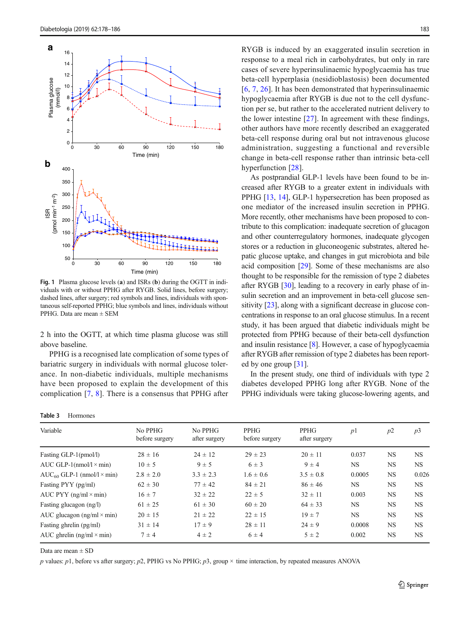<span id="page-5-0"></span>

Fig. 1 Plasma glucose levels (a) and ISRs (b) during the OGTT in individuals with or without PPHG after RYGB. Solid lines, before surgery; dashed lines, after surgery; red symbols and lines, individuals with spontaneous self-reported PPHG; blue symbols and lines, individuals without PPHG. Data are mean ± SEM

2 h into the OGTT, at which time plasma glucose was still above baseline.

PPHG is a recognised late complication of some types of bariatric surgery in individuals with normal glucose tolerance. In non-diabetic individuals, multiple mechanisms have been proposed to explain the development of this complication [\[7](#page-7-0), [8](#page-7-0)]. There is a consensus that PPHG after

| Table 3 | Hormones |
|---------|----------|
|         |          |
|         |          |
|         |          |
|         |          |
|         |          |
|         |          |
|         |          |
|         |          |
|         |          |

RYGB is induced by an exaggerated insulin secretion in response to a meal rich in carbohydrates, but only in rare cases of severe hyperinsulinaemic hypoglycaemia has true beta-cell hyperplasia (nesidioblastosis) been documented [\[6,](#page-7-0) [7,](#page-7-0) [26](#page-7-0)]. It has been demonstrated that hyperinsulinaemic hypoglycaemia after RYGB is due not to the cell dysfunction per se, but rather to the accelerated nutrient delivery to the lower intestine [\[27](#page-7-0)]. In agreement with these findings, other authors have more recently described an exaggerated beta-cell response during oral but not intravenous glucose administration, suggesting a functional and reversible change in beta-cell response rather than intrinsic beta-cell hyperfunction [[28](#page-8-0)].

As postprandial GLP-1 levels have been found to be increased after RYGB to a greater extent in individuals with PPHG [\[13](#page-7-0), [14](#page-7-0)], GLP-1 hypersecretion has been proposed as one mediator of the increased insulin secretion in PPHG. More recently, other mechanisms have been proposed to contribute to this complication: inadequate secretion of glucagon and other counterregulatory hormones, inadequate glycogen stores or a reduction in gluconeogenic substrates, altered hepatic glucose uptake, and changes in gut microbiota and bile acid composition [\[29\]](#page-8-0). Some of these mechanisms are also thought to be responsible for the remission of type 2 diabetes after RYGB [[30](#page-8-0)], leading to a recovery in early phase of insulin secretion and an improvement in beta-cell glucose sensitivity [\[23](#page-7-0)], along with a significant decrease in glucose concentrations in response to an oral glucose stimulus. In a recent study, it has been argued that diabetic individuals might be protected from PPHG because of their beta-cell dysfunction and insulin resistance [\[8\]](#page-7-0). However, a case of hypoglycaemia after RYGB after remission of type 2 diabetes has been reported by one group [[31\]](#page-8-0).

In the present study, one third of individuals with type 2 diabetes developed PPHG long after RYGB. None of the PPHG individuals were taking glucose-lowering agents, and

| Variable                               | No PPHG<br>before surgery | No PPHG<br>after surgery | PPHG<br>before surgery | PPHG<br>after surgery | p <sub>1</sub> | p2        | p3        |
|----------------------------------------|---------------------------|--------------------------|------------------------|-----------------------|----------------|-----------|-----------|
| Fasting GLP-1(pmol/l)                  | $28 \pm 16$               | $24 \pm 12$              | $29 \pm 23$            | $20 \pm 11$           | 0.037          | <b>NS</b> | <b>NS</b> |
| AUC GLP-1( $nmol/l \times min$ )       | $10 \pm 5$                | $9 \pm 5$                | $6 \pm 3$              | $9 \pm 4$             | NS             | NS.       | <b>NS</b> |
| $AUC_{60}$ GLP-1 (nmol/l $\times$ min) | $2.8 \pm 2.0$             | $3.3 \pm 2.3$            | $1.6 \pm 0.6$          | $3.5 \pm 0.8$         | 0.0005         | <b>NS</b> | 0.026     |
| Fasting PYY (pg/ml)                    | $62 \pm 30$               | $77 \pm 42$              | $84 \pm 21$            | $86 \pm 46$           | NS             | <b>NS</b> | <b>NS</b> |
| AUC PYY $(ng/ml \times min)$           | $16 \pm 7$                | $32 \pm 22$              | $22 \pm 5$             | $32 \pm 11$           | 0.003          | <b>NS</b> | <b>NS</b> |
| Fasting glucagon (ng/l)                | $61 \pm 25$               | $61 \pm 30$              | $60 \pm 20$            | $64 \pm 33$           | <b>NS</b>      | <b>NS</b> | <b>NS</b> |
| AUC glucagon $(ng/ml \times min)$      | $20 \pm 15$               | $21 \pm 22$              | $22 \pm 15$            | $19 \pm 7$            | NS             | <b>NS</b> | <b>NS</b> |
| Fasting ghrelin (pg/ml)                | $31 \pm 14$               | $17 \pm 9$               | $28 \pm 11$            | $24 \pm 9$            | 0.0008         | <b>NS</b> | <b>NS</b> |
| AUC ghrelin (ng/ml $\times$ min)       | $7 \pm 4$                 | $4 \pm 2$                | $6 \pm 4$              | $5 \pm 2$             | 0.002          | <b>NS</b> | <b>NS</b> |

Data are mean  $\pm$  SD

p values: p1, before vs after surgery; p2, PPHG vs No PPHG; p3, group  $\times$  time interaction, by repeated measures ANOVA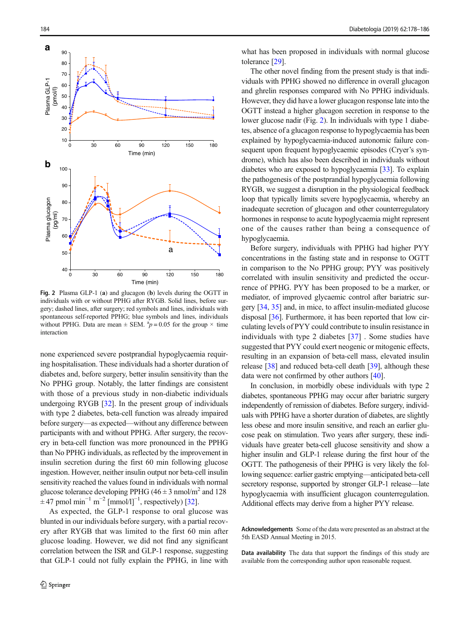<span id="page-6-0"></span>

Fig. 2 Plasma GLP-1 (a) and glucagon (b) levels during the OGTT in individuals with or without PPHG after RYGB. Solid lines, before surgery; dashed lines, after surgery; red symbols and lines, individuals with spontaneous self-reported PPHG; blue symbols and lines, individuals without PPHG. Data are mean  $\pm$  SEM.  $^{a}p = 0.05$  for the group  $\times$  time interaction

none experienced severe postprandial hypoglycaemia requiring hospitalisation. These individuals had a shorter duration of diabetes and, before surgery, better insulin sensitivity than the No PPHG group. Notably, the latter findings are consistent with those of a previous study in non-diabetic individuals undergoing RYGB [[32\]](#page-8-0). In the present group of individuals with type 2 diabetes, beta-cell function was already impaired before surgery—as expected—without any difference between participants with and without PPHG. After surgery, the recovery in beta-cell function was more pronounced in the PPHG than No PPHG individuals, as reflected by the improvement in insulin secretion during the first 60 min following glucose ingestion. However, neither insulin output nor beta-cell insulin sensitivity reached the values found in individuals with normal glucose tolerance developing PPHG (46  $\pm$  3 nmol/m<sup>2</sup> and 128  $\pm$  47 pmol min<sup>-1</sup> m<sup>-2</sup> [mmol/l]<sup>-1</sup>, respectively) [\[32](#page-8-0)].

As expected, the GLP-1 response to oral glucose was blunted in our individuals before surgery, with a partial recovery after RYGB that was limited to the first 60 min after glucose loading. However, we did not find any significant correlation between the ISR and GLP-1 response, suggesting that GLP-1 could not fully explain the PPHG, in line with

what has been proposed in individuals with normal glucose tolerance [\[29\]](#page-8-0).

The other novel finding from the present study is that individuals with PPHG showed no difference in overall glucagon and ghrelin responses compared with No PPHG individuals. However, they did have a lower glucagon response late into the OGTT instead a higher glucagon secretion in response to the lower glucose nadir (Fig. 2). In individuals with type 1 diabetes, absence of a glucagon response to hypoglycaemia has been explained by hypoglycaemia-induced autonomic failure consequent upon frequent hypoglycaemic episodes (Cryer's syndrome), which has also been described in individuals without diabetes who are exposed to hypoglycaemia [[33](#page-8-0)]. To explain the pathogenesis of the postprandial hypoglycaemia following RYGB, we suggest a disruption in the physiological feedback loop that typically limits severe hypoglycaemia, whereby an inadequate secretion of glucagon and other counterregulatory hormones in response to acute hypoglycaemia might represent one of the causes rather than being a consequence of hypoglycaemia.

Before surgery, individuals with PPHG had higher PYY concentrations in the fasting state and in response to OGTT in comparison to the No PPHG group; PYY was positively correlated with insulin sensitivity and predicted the occurrence of PPHG. PYY has been proposed to be a marker, or mediator, of improved glycaemic control after bariatric surgery [\[34,](#page-8-0) [35\]](#page-8-0) and, in mice, to affect insulin-mediated glucose disposal [[36\]](#page-8-0). Furthermore, it has been reported that low circulating levels of PYY could contribute to insulin resistance in individuals with type 2 diabetes [\[37\]](#page-8-0) . Some studies have suggested that PYY could exert neogenic or mitogenic effects, resulting in an expansion of beta-cell mass, elevated insulin release [[38\]](#page-8-0) and reduced beta-cell death [[39\]](#page-8-0), although these data were not confirmed by other authors [[40\]](#page-8-0).

In conclusion, in morbidly obese individuals with type 2 diabetes, spontaneous PPHG may occur after bariatric surgery independently of remission of diabetes. Before surgery, individuals with PPHG have a shorter duration of diabetes, are slightly less obese and more insulin sensitive, and reach an earlier glucose peak on stimulation. Two years after surgery, these individuals have greater beta-cell glucose sensitivity and show a higher insulin and GLP-1 release during the first hour of the OGTT. The pathogenesis of their PPHG is very likely the following sequence: earlier gastric emptying—anticipated beta-cell secretory response, supported by stronger GLP-1 release—late hypoglycaemia with insufficient glucagon counterregulation. Additional effects may derive from a higher PYY release.

Acknowledgements Some of the data were presented as an abstract at the 5th EASD Annual Meeting in 2015.

Data availability The data that support the findings of this study are available from the corresponding author upon reasonable request.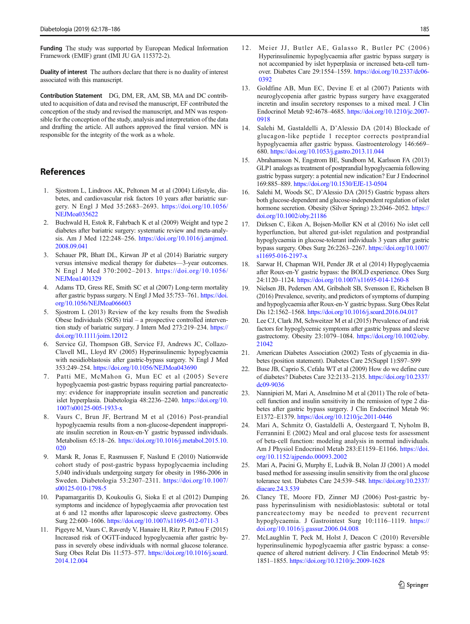<span id="page-7-0"></span>Funding The study was supported by European Medical Information Framework (EMIF) grant (IMI JU GA 115372-2).

Duality of interest The authors declare that there is no duality of interest associated with this manuscript.

Contribution Statement DG, DM, ER, AM, SB, MA and DC contributed to acquisition of data and revised the manuscript, EF contributed the conception of the study and revised the manuscript, and MN was responsible for the conception of the study, analysis and interpretation of the data and drafting the article. All authors approved the final version. MN is responsible for the integrity of the work as a whole.

## References

- 1. Sjostrom L, Lindroos AK, Peltonen M et al (2004) Lifestyle, diabetes, and cardiovascular risk factors 10 years after bariatric surgery. N Engl J Med 35:2683–2693. [https://doi.org/10.1056/](https://doi.org/10.1056/NEJMoa035622) [NEJMoa035622](https://doi.org/10.1056/NEJMoa035622)
- 2. Buchwald H, Estok R, Fahrbach K et al (2009) Weight and type 2 diabetes after bariatric surgery: systematic review and meta-analysis. Am J Med 122:248–256. [https://doi.org/10.1016/j.amjmed.](https://doi.org/10.1016/j.amjmed.2008.09.041) [2008.09.041](https://doi.org/10.1016/j.amjmed.2008.09.041)
- 3. Schauer PR, Bhatt DL, Kirwan JP et al (2014) Bariatric surgery versus intensive medical therapy for diabetes—3-year outcomes. N Engl J Med 370:2002–2013. [https://doi.org/10.1056/](https://doi.org/10.1056/NEJMoa1401329) [NEJMoa1401329](https://doi.org/10.1056/NEJMoa1401329)
- 4. Adams TD, Gress RE, Smith SC et al (2007) Long-term mortality after gastric bypass surgery. N Engl J Med 35:753–761. [https://doi.](https://doi.org/10.1056/NEJMoa066603) [org/10.1056/NEJMoa066603](https://doi.org/10.1056/NEJMoa066603)
- 5. Sjostrom L (2013) Review of the key results from the Swedish Obese Individuals (SOS) trial – a prospective controlled intervention study of bariatric surgery. J Intern Med 273:219–234. [https://](https://doi.org/10.1111/joim.12012) [doi.org/10.1111/joim.12012](https://doi.org/10.1111/joim.12012)
- Service GJ, Thompson GB, Service FJ, Andrews JC, Collazo-Clavell ML, Lloyd RV (2005) Hyperinsulinemic hypoglycaemia with nesidioblastosis after gastric-bypass surgery. N Engl J Med 353:249–254. <https://doi.org/10.1056/NEJMoa043690>
- 7. Patti ME, McMahon G, Mun EC et al (2005) Severe hypoglycaemia post-gastric bypass requiring partial pancreatectomy: evidence for inappropriate insulin secretion and pancreatic islet hyperplasia. Diabetologia 48:2236–2240. [https://doi.org/10.](https://doi.org/10.1007/s00125-005-1933-x) [1007/s00125-005-1933-x](https://doi.org/10.1007/s00125-005-1933-x)
- 8. Vaurs C, Brun JF, Bertrand M et al (2016) Post-prandial hypoglycaemia results from a non-glucose-dependent inappropriate insulin secretion in Roux-en-Y gastric bypassed individuals. Metabolism 65:18–26. [https://doi.org/10.1016/j.metabol.2015.10.](https://doi.org/10.1016/j.metabol.2015.10.020) [020](https://doi.org/10.1016/j.metabol.2015.10.020)
- 9. Marsk R, Jonas E, Rasmussen F, Naslund E (2010) Nationwide cohort study of post-gastric bypass hypoglycaemia including 5,040 individuals undergoing surgery for obesity in 1986-2006 in Sweden. Diabetologia 53:2307–2311. [https://doi.org/10.1007/](https://doi.org/10.1007/s00125-010-1798-5) [s00125-010-1798-5](https://doi.org/10.1007/s00125-010-1798-5)
- 10. Papamargaritis D, Koukoulis G, Sioka E et al (2012) Dumping symptoms and incidence of hypoglycaemia after provocation test at 6 and 12 months after laparoscopic sleeve gastrectomy. Obes Surg 22:600–1606. <https://doi.org/10.1007/s11695-012-0711-3>
- 11. Pigeyre M, Vaurs C, Raverdy V, Hanaire H, Ritz P, Pattou F (2015) Increased risk of OGTT-induced hypoglycaemia after gastric bypass in severely obese individuals with normal glucose tolerance. Surg Obes Relat Dis 11:573–577. [https://doi.org/10.1016/j.soard.](https://doi.org/10.1016/j.soard.2014.12.004) [2014.12.004](https://doi.org/10.1016/j.soard.2014.12.004)
- 12. Meier JJ, Butler AE, Galasso R, Butler PC (2006) Hyperinsulinemic hypoglycaemia after gastric bypass surgery is not accompanied by islet hyperplasia or increased beta-cell turnover. Diabetes Care 29:1554–1559. [https://doi.org/10.2337/dc06-](https://doi.org/10.1056/NEJMoa035622) [0392](https://doi.org/10.1056/NEJMoa035622)
- 13. Goldfine AB, Mun EC, Devine E et al (2007) Patients with neuroglycopenia after gastric bypass surgery have exaggerated incretin and insulin secretory responses to a mixed meal. J Clin Endocrinol Metab 92:4678–4685. [https://doi.org/10.1210/jc.2007-](https://doi.org/10.1210/jc.2007-0918) [0918](https://doi.org/10.1210/jc.2007-0918)
- 14. Salehi M, Gastaldelli A, D'Alessio DA (2014) Blockade of glucagon-like peptide 1 receptor corrects postprandial hypoglycaemia after gastric bypass. Gastroenterology 146:669– 680. <https://doi.org/10.1053/j.gastro.2013.11.044>
- 15. Abrahamsson N, Engstrom BE, Sundbom M, Karlsson FA (2013) GLP1 analogs as treatment of postprandial hypoglycaemia following gastric bypass surgery: a potential new indication? Eur J Endocrinol 169:885–889. <https://doi.org/10.1530/EJE-13-0504>
- 16. Salehi M, Woods SC, D'Alessio DA (2015) Gastric bypass alters both glucose-dependent and glucose-independent regulation of islet hormone secretion. Obesity (Silver Spring) 23:2046–2052. [https://](https://doi.org/10.1002/oby.21186) [doi.org/10.1002/oby.21186](https://doi.org/10.1002/oby.21186)
- 17. Dirksen C, Eiken A, Bojsen-Moller KN et al (2016) No islet cell hyperfunction, but altered gut-islet regulation and postprandial hypoglycaemia in glucose-tolerant individuals 3 years after gastric bypass surgery. Obes Surg 26:2263–2267. [https://doi.org/10.1007/](https://doi.org/10.1007/s11695-016-2197-x) [s11695-016-2197-x](https://doi.org/10.1007/s11695-016-2197-x)
- 18. Sarwar H, Chapman WH, Pender JR et al (2014) Hypoglycaemia after Roux-en-Y gastric bypass: the BOLD experience. Obes Surg 24:1120–1124. <https://doi.org/10.1007/s11695-014-1260-8>
- 19. Nielsen JB, Pedersen AM, Gribsholt SB, Svensson E, Richelsen B (2016) Prevalence, severity, and predictors of symptoms of dumping and hypoglycaemia after Roux-en-Y gastric bypass. Surg Obes Relat Dis 12:1562–1568. <https://doi.org/10.1016/j.soard.2016.04.017>
- 20. Lee CJ, Clark JM, Schweitzer M et al (2015) Prevalence of and risk factors for hypoglycemic symptoms after gastric bypass and sleeve gastrectomy. Obesity 23:1079–1084. [https://doi.org/10.1002/oby.](https://doi.org/10.1002/oby.21042) [21042](https://doi.org/10.1002/oby.21042)
- 21. American Diabetes Association (2002) Tests of glycaemia in diabetes (position statement). Diabetes Care 25(Suppl 1):S97–S99
- 22. Buse JB, Caprio S, Cefalu WT et al (2009) How do we define cure of diabetes? Diabetes Care 32:2133–2135. [https://doi.org/10.2337/](https://doi.org/10.2337/dc09-9036) [dc09-9036](https://doi.org/10.2337/dc09-9036)
- 23. Nannipieri M, Mari A, Anselmino M et al (2011) The role of betacell function and insulin sensitivity in the remission of type 2 diabetes after gastric bypass surgery. J Clin Endocrinol Metab 96: E1372–E1379. <https://doi.org/10.1210/jc.2011-0446>
- 24. Mari A, Schmitz O, Gastaldelli A, Oestergaard T, Nyholm B, Ferrannini E (2002) Meal and oral glucose tests for assessment of beta-cell function: modeling analysis in normal individuals. Am J Physiol Endocrinol Metab 283:E1159–E1166. [https://doi.](https://doi.org/10.1152/ajpendo.00093.2002) [org/10.1152/ajpendo.00093.2002](https://doi.org/10.1152/ajpendo.00093.2002)
- 25. Mari A, Pacini G, Murphy E, Ludvik B, Nolan JJ (2001) A model based method for assessing insulin sensitivity from the oral glucose tolerance test. Diabetes Care 24:539–548. [https://doi.org/10.2337/](https://doi.org/10.2337/diacare.24.3.539) [diacare.24.3.539](https://doi.org/10.2337/diacare.24.3.539)
- 26. Clancy TE, Moore FD, Zinner MJ (2006) Post-gastric bypass hyperinsulinism with nesidioblastosis: subtotal or total pancreatectomy may be needed to prevent recurrent hypoglycaemia. J Gastrointest Surg 10:1116–1119. [https://](https://doi.org/10.1016/j.gassur.2006.04.008) [doi.org/10.1016/j.gassur.2006.04.008](https://doi.org/10.1016/j.gassur.2006.04.008)
- 27. McLaughlin T, Peck M, Holst J, Deacon C (2010) Reversible hyperinsulinemic hypoglycaemia after gastric bypass: a consequence of altered nutrient delivery. J Clin Endocrinol Metab 95: 1851–1855. <https://doi.org/10.1210/jc.2009-1628>